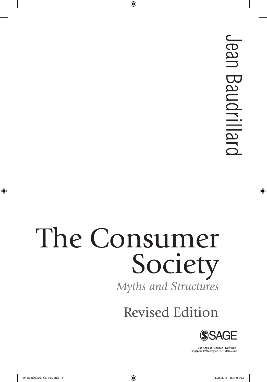Jean Baudrillar

# The Consumer Society

Myths and Structures

**Revised Edition** 



Los Angeles | London | New Delhi Singapore | Washington DC | Melbourne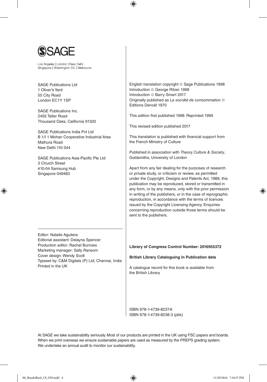

Los Angeles | London | New Delhi Singapore | Washington DC | Melbourne

SAGE Publications Ltd 1 Oliver's Yard 55 City Road London EC1Y 1SP

SAGE Publications Inc. 2455 Teller Road Thousand Oaks, California 91320

SAGE Publications India Pvt Ltd B 1/I 1 Mohan Cooperative Industrial Area Mathura Road New Delhi 110 044

SAGE Publications Asia-Pacific Pte Ltd 3 Church Street #10-04 Samsung Hub Singapore 049483

Editor: Natalie Aguilera Editorial assistant: Delayna Spencer Production editor: Rachel Burrows Marketing manager: Sally Ransom Cover design: Wendy Scott Typeset by: C&M Digitals (P) Ltd, Chennai, India Printed in the UK

English translation copyright © Sage Publications 1998 Introduction © George Ritzer 1998 Introduction Barry Smart 2017 Originally published as *La société de consommation* Editions Denoeˉl 1970

This edition first published 1998. Reprinted 1999

This revised edition published 2017

This translation is published with financial support from the French Ministry of Culture

Published in association with *Theory, Culture & Society*, Goldsmiths, University of London

Apart from any fair dealing for the purposes of research or private study, or criticism or review, as permitted under the Copyright, Designs and Patents Act, 1988, this publication may be reproduced, stored or transmitted in any form, or by any means, only with the prior permission in writing of the publishers, or in the case of reprographic reproduction, in accordance with the terms of licences issued by the Copyright Licensing Agency. Enquiries concerning reproduction outside those terms should be sent to the publishers.

#### **Library of Congress Control Number: 2016955372**

#### **British Library Cataloguing in Publication data**

A catalogue record for this book is available from the British Library

ISBN 978-1-4739-8237-6 ISBN 978-1-4739-8238-3 (pbk)

At SAGE we take sustainability seriously. Most of our products are printed in the UK using FSC papers and boards. When we print overseas we ensure sustainable papers are used as measured by the PREPS grading system. We undertake an annual audit to monitor our sustainability.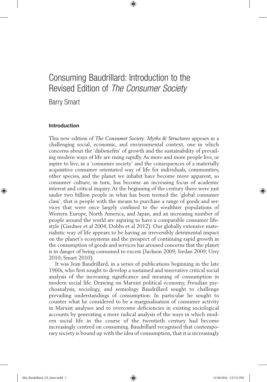# Consuming Baudrillard: Introduction to the Revised Edition of *The Consumer Society*

Barry Smart

# Introduction

This new edition of *The Consumer Society: Myths & Structures* appears in a challenging social, economic, and environmental context, one in which concerns about the 'disbenefits' of growth and the sustainability of prevailing modern ways of life are rising rapidly. As more and more people live, or aspire to live, in a 'consumer society' and the consequences of a materially acquisitive consumer orientated way of life for individuals, communities, other species, and the planet we inhabit have become more apparent, so consumer culture, in turn, has become an increasing focus of academic interest and critical inquiry. At the beginning of the century there were just under two billion people in what has been termed the 'global consumer class', that is people with the means to purchase a range of goods and services that were once largely confined to the wealthier populations of Western Europe, North America, and Japan, and an increasing number of people around the world are aspiring to have a comparable consumer lifestyle (Gardner et al 2004; Dobbs et al 2012). Our globally extensive materialistic way of life appears to be having an irreversibly detrimental impact on the planet's ecosystems and the prospect of continuing rapid growth in the consumption of goods and services has aroused concerns that the planet is in danger of being consumed to excess (Jackson 2009; Jordan 2009; Urry 2010; Smart 2010).

It was Jean Baudrillard, in a series of publications beginning in the late 1960s, who first sought to develop a sustained and innovative critical social analysis of the increasing significance and meaning of consumption in modern social life. Drawing on Marxist political economy, Freudian psychoanalysis, sociology, and semiology Baudrillard sought to challenge prevailing understandings of consumption. In particular he sought to counter what he considered to be a marginalisation of consumer activity in Marxist analyses and to overcome deficiencies in existing sociological accounts by generating a more radical analysis of the ways in which modern social life in the course of the twentieth century had become increasingly centred on consuming. Baudrillard recognised that contemporary society is bound up with the idea of consumption, that it is increasingly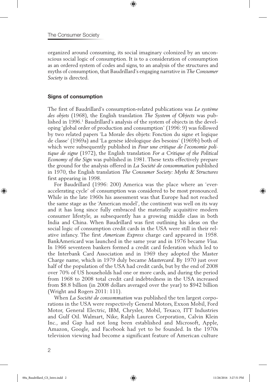organized around consuming, its social imaginary colonized by an unconscious social logic of consumption. It is to a consideration of consumption as an ordered system of codes and signs, to an analysis of the structures and myths of consumption, that Baudrillard's engaging narrative in *The Consumer Society* is directed.

#### Signs of consumption

The first of Baudrillard's consumption-related publications was *Le système des objets* (1968), the English translation *The System of Objects* was published in 1996.<sup>1</sup> Baudrillard's analysis of the system of objects in the developing 'global order of production and consumption' (1996: 9) was followed by two related papers 'La Morale des objets: Fonction du signe et logique de classe' (1969a) and 'La genèse idéologique des besoins' (1969b) both of which were subsequently published in *Pour une critique de l'economie politique de signe* (1972), the English translation *For a Critique of the Political Economy of the Sign* was published in 1981. These texts effectively prepare the ground for the analysis offered in *La Société de consommation* published in 1970, the English translation *The Consumer Society: Myths & Structures* first appearing in 1998.

For Baudrillard (1996: 200) America was the place where an 'everaccelerating cycle' of consumption was considered to be most pronounced. While in the late 1960s his assessment was that Europe had not reached the same stage as the 'American model', the continent was well on its way and it has long since fully embraced the materially acquisitive modern consumer lifestyle, as subsequently has a growing middle class in both India and China. When Baudrillard was first outlining his ideas on the social logic of consumption credit cards in the USA were still in their relative infancy. The first *American Express* charge card appeared in 1958. BankAmericard was launched in the same year and in 1976 became *Visa*. In 1966 seventeen bankers formed a credit card federation which led to the Interbank Card Association and in 1969 they adopted the Master Charge name, which in 1979 duly became *Mastercard*. By 1970 just over half of the population of the USA had credit cards, but by the end of 2008 over 70% of US households had one or more cards, and during the period from 1968 to 2008 total credit card indebtedness in the USA increased from \$8.8 billion (in 2008 dollars averaged over the year) to \$942 billion (Wright and Rogers 2011: 111).

When *La Société de consommation* was published the ten largest corporations in the USA were respectively General Motors, Exxon Mobil, Ford Motor, General Electric, IBM, Chrysler, Mobil, Texaco, ITT Industries and Gulf Oil. Walmart, Nike, Ralph Lauren Corporation, Calvin Klein Inc., and Gap had not long been established and Microsoft, Apple, Amazon, Google, and Facebook had yet to be founded. In the 1970s television viewing had become a significant feature of American culture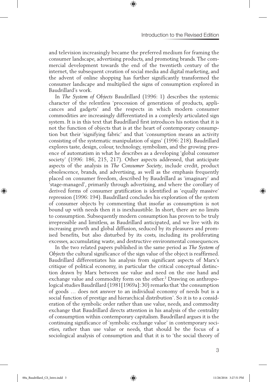and television increasingly became the preferred medium for framing the consumer landscape, advertising products, and promoting brands. The commercial development towards the end of the twentieth century of the internet, the subsequent creation of social media and digital marketing, and the advent of online shopping has further significantly transformed the consumer landscape and multiplied the signs of consumption explored in Baudrillard's work.

In *The System of Objects* Baudrillard (1996: 1) describes the systemic character of the relentless 'procession of generations of products, applicances and gadgets' and the respects in which modern consumer commodities are increasingly differentiated in a complexly articulated sign system. It is in this text that Baudrillard first introduces his notion that it is not the function of objects that is at the heart of contemporary consumption but their 'signifying fabric' and that 'consumption means an activity consisting of the systematic manipulation of signs' (1996: 218). Baudrillard explores taste, design, colour, technology, symbolism, and the growing presence of automatism in what he describes as a developing 'global consumer society' (1996: 186, 215, 217). Other aspects addressed, that anticipate aspects of the analysis in *The Consumer Society*, include credit, product obsolescence, brands, and advertising, as well as the emphasis frequently placed on consumer freedom, described by Baudrillard as 'imaginary' and 'stage-managed', primarily through advertising, and where the corollary of derived forms of consumer gratification is identified as 'equally massive' repression (1996: 194). Baudrillard concludes his exploration of the system of consumer objects by commenting that insofar as consumption is not bound up with needs then it is inexhaustible. In short, there are no limits to consumption. Subsequently modern consumption has proven to be truly irrepressible and limitless, as Baudrillard anticipated, and we live with its increasing growth and global diffusion, seduced by its pleasures and promised benefits, but also disturbed by its costs, including its proliferating excesses, accumulating waste, and destructive environmental consequences.

In the two related papers published in the same period as *The System of Objects* the cultural significance of the sign value of the object is reaffirmed. Baudrillard differentiates his analysis from significant aspects of Marx's critique of political economy, in particular the critical conceptual distinction drawn by Marx between use value and need on the one hand and exchange value and commodity form on the other.<sup>2</sup> Drawing on anthropological studies Baudrillard (1981[1969a]: 30) remarks that 'the consumption of goods … does not answer to an individual economy of needs but is a social function of prestige and hierarchical distribution'. So it is to a consideration of the symbolic order rather than use value, needs, and commodity exchange that Baudrillard directs attention in his analysis of the centrality of consumption within contemporary capitalism. Baudrillard argues it is the continuing significance of 'symbolic exchange value' in contemporary societies, rather than use value or needs, that should be the focus of a sociological analysis of consumption and that it is to 'the social theory of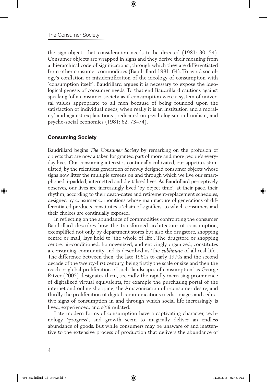the sign-object' that consideration needs to be directed (1981: 30, 54). Consumer objects are wrapped in signs and they derive their meaning from a 'hierarchical code of significations', through which they are differentiated from other consumer commodities (Baudrillard 1981: 64). To avoid sociology's conflation or misidentification of the ideology of consumption with 'consumption itself', Baudrillard argues it is necessary to expose the ideological genesis of consumer needs. To that end Baudrillard cautions against speaking 'of a consumer society as if consumption were a system of universal values appropriate to all men because of being founded upon the satisfaction of individual needs, when really it is an institution and a morality' and against explanations predicated on psychologism, culturalism, and psycho-social economics (1981: 62, 73–74).

## Consuming Society

Baudrillard begins *The Consumer Society* by remarking on the profusion of objects that are now a taken for granted part of more and more people's everyday lives. Our consuming interest is continually cultivated, our appetites stimulated, by the relentless generation of newly designed consumer objects whose signs now litter the multiple screens on and through which we live our smartphoned, i-padded, internetted and digitalised lives. As Baudrillard perceptively observes, our lives are increasingly lived 'by object time', at their pace, their rhythm, according to their death-dates and retirement-replacement schedules, designed by consumer corporations whose manufacture of generations of differentiated products constitutes a 'chain of signifiers' to which consumers and their choices are continually exposed.

In reflecting on the abundance of commodities confronting the consumer Baudrillard describes how the transformed architecture of consumption, exemplified not only by department stores but also the drugstore, shopping centre or mall, lays hold to 'the whole of life'. The drugstore or shopping centre, air-conditioned, homogenized, and enticingly organized, constitutes a consuming community and is described as 'the *sublimate* of all real life'. The difference between then, the late 1960s to early 1970s and the second decade of the twenty-first century, being firstly the scale or size and then the reach or global proliferation of such 'landscapes of consumption' as George Ritzer (2005) designates them, secondly the rapidly increasing prominence of digitalized virtual equivalents, for example the purchasing portal of the internet and online shopping, the Amazonization of i-consumer desire, and thirdly the proliferation of digital communications media images and seductive signs of consumption in and through which social life increasingly is lived, experienced, and s(t)imulated.

Late modern forms of consumption have a captivating character, technology, 'progress', and growth seem to magically deliver an endless abundance of goods. But while consumers may be unaware of and inattentive to the extensive process of production that delivers the abundance of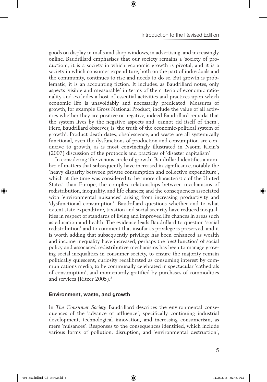goods on display in malls and shop windows, in advertising, and increasingly online, Baudrillard emphasises that our society remains a 'society of production', it is a society in which economic growth is pivotal, and it is a society in which consumer expenditure, both on the part of individuals and the community, continues to rise and needs to do so. But growth is problematic, it is an accounting fiction. It includes, as Baudrillard notes, only aspects 'visible and measurable' in terms of the criteria of economic rationality and excludes a host of essential activities and practices upon which economic life is unavoidably and necessarily predicated. Measures of growth, for example Gross National Product, include the value of all activities whether they are positive or negative, indeed Baudrillard remarks that the system lives by the negative aspects and 'cannot rid itself of them'. Here, Baudrillard observes, is 'the truth of the economic-political system of growth'. Product death dates, obsolescence, and waste are all systemically functional, even the dysfunctions of production and consumption are conducive to growth, as is most convincingly illustrated in Naomi Klein's (2007) discussion of the protocols and practices of 'disaster capitalism'.

In considering 'the vicious circle of growth' Baudrillard identifies a number of matters that subsequently have increased in significance, notably the 'heavy disparity between private consumption and collective expenditure', which at the time was considered to be 'more characteristic of the United States' than Europe; the complex relationships between mechanisms of redistribution, inequality, and life chances; and the consequences associated with 'environmental nuisances' arising from increasing productivity and 'dysfunctional consumption'. Baudrillard questions whether and to what extent state expenditure, taxation and social security have reduced inequalities in respect of standards of living and improved life chances in areas such as education and health. The evidence leads Baudrillard to question 'social redistribution' and to comment that insofar as privilege is preserved, and it is worth adding that subsequently privilege has been enhanced as wealth and income inequality have increased, perhaps the '*real* function' of social policy and associated redistributive mechanisms has been to manage growing social inequalities in consumer society, to ensure the majority remain politically quiescent, curiosity recalibrated as consuming interest by communications media, to be communally celebrated in spectacular 'cathedrals of consumption', and momentarily gratified by purchases of commodities and services (Ritzer 2005).3

#### Environment, waste, and growth

In *The Consumer Society* Baudrillard describes the environmental consequences of the 'advance of affluence', specifically continuing industrial development, technological innovation, and increasing consumerism, as mere 'nuisances'. Responses to the consequences identified, which include various forms of pollution, disruption, and 'environmental destruction',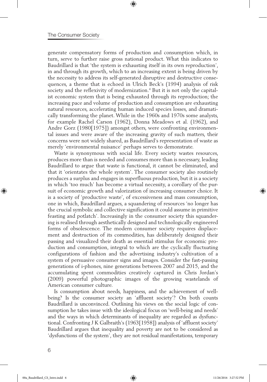generate compensatory forms of production and consumption which, in turn, serve to further raise gross national product. What this indicates to Baudrillard is that 'the system is exhausting itself in its own reproduction', in and through its growth, which to an increasing extent is being driven by the necessity to address its self-generated disruptive and destructive consequences, a theme that is echoed in Ulrich Beck's (1994) analysis of risk society and the reflexivity of modernization.4 But it is not only the capitalist economic system that is being exhausted through its reproduction; the increasing pace and volume of production and consumption are exhausting natural resources, accelerating human induced species losses, and dramatically transforming the planet. While in the 1960s and 1970s some analysts, for example Rachel Carson (1962), Donna Meadows et al. (1962), and Andre Gorz (1980[1975]) amongst others, were confronting environmental issues and were aware of the increasing gravity of such matters, their concerns were not widely shared, as Baudrillard's representation of waste as merely 'environmental nuisance' perhaps serves to demonstrate.

Waste is synonymous with social life. Every society wastes resources, produces more than is needed and consumes more than is necessary, leading Baudrillard to argue that waste is functional, it cannot be eliminated, and that it 'orientates the whole system'. The consumer society also routinely produces a surplus and engages in superfluous production, but it is a society in which 'too much' has become a virtual necessity, a corollary of the pursuit of economic growth and valorization of increasing consumer choice. It is a society of 'productive waste', of excessiveness and mass consumption, one in which, Baudrillard argues, a squandering of resources 'no longer has the crucial symbolic and collective signification it could assume in primitive feasting and potlatch'. Increasingly in the consumer society this squandering is realised through aesthetically designed and technologically engineered forms of obsolescence. The modern consumer society requires displacement and destruction of its commodities, has deliberately designed their passing and visualized their death as essential stimulus for economic production and consumption, integral to which are the cyclically fluctuating configurations of fashion and the advertising industry's cultivation of a system of persuasive consumer signs and images. Consider the fast-passing generations of i-phones, nine generations between 2007 and 2015, and the accumulating spent commodities creatively captured in Chris Jordan's (2009) powerful photographic images of the growing wastelands of American consumer culture.

Is consumption about needs, happiness, and the achievement of wellbeing? Is the consumer society an 'affluent society'? On both counts Baudrillard is unconvinced. Outlining his views on the social logic of consumption he takes issue with the ideological focus on 'well-being and needs' and the ways in which determinants of inequality are regarded as dysfunctional. Confronting J K Galbraith's (1963[1958]) analysis of 'affluent society' Baudrillard argues that inequality and poverty are not to be considered as 'dysfunctions of the system', they are not residual manifestations, temporary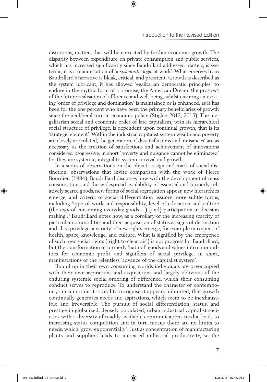distortions, matters that will be corrected by further economic growth. The disparity between expenditure on private consumption and public services, which has increased significantly since Baudrillard addressed matters, is systemic, it is a manifestation of 'a *systematic logic* at work'. What emerges from Baudrillard's narrative is bleak, critical, and prescient. Growth is described as the system lubricant, it has allowed 'egalitarian democratic principles' to endure in the mythic form of a promise, the American Dream, the prospect of the future realisation of affluence and well-being, whilst ensuring an existing 'order of privilege and domination' is maintained or is enhanced, as it has been for the one percent who have been the primary beneficiaries of growth since the neoliberal turn in economic policy (Stiglitz 2013, 2015). The inegalitarian social and economic order of late capitalism, with its hierarchical social structure of privilege, is dependent upon continual growth, that is its 'strategic element'. Within the industrial capitalist system wealth and poverty are closely articulated, the generation of dissatisfactions and 'nuisances' are as necessary as the creation of satisfactions and achievement of innovations considered progressive, in short 'poverty and nuisance cannot be eliminated' for they are systemic, integral to system survival and growth.

In a series of observations on the object as sign and mark of social distinction, observations that invite comparison with the work of Pierre Bourdieu (1984), Baudrillard discusses how with the development of mass consumption, and the widespread availability of essential and formerly relatively scarce goods, new forms of social segregation appear, new hierarchies emerge, and criteria of social differentiation assume more subtle forms, including 'type of work and responsibility, level of education and culture (the *way* of consuming everyday goods ...) [and] participation in decision making'.5 Baudrillard notes how, as a corollary of the increasing scarcity of particular commodities and their acquisition of status as signs of distinction and class privilege, a variety of new rights emerge, for example in respect of health, space, knowledge, and culture. What is signified by the emergence of such new social rights ('right to clean air') is not progress for Baudrillard, but the transformation of formerly 'natural' goods and values into commodities for economic profit and signifiers of social privilege, in short, manifestations of the relentless 'advance of the capitalist system'.

Bound up in their own consuming worlds individuals are preoccupied with their own aspirations and acquisitions and largely oblivious of the enduring systemic social ordering of difference, which their consuming conduct serves to reproduce. To understand the character of contemporary consumption it is vital to recognise it appears unlimited, that growth continually generates needs and aspirations, which seem to be inexhaustible and irreversible. The pursuit of social differentiation, status, and prestige in globalized, densely populated, urban industrial capitalist societies with a diversity of readily available communications media, leads to increasing status competition and in turn means there are no limits to needs, which 'grow exponentially'. Just as concentration of manufacturing plants and suppliers leads to increased industrial productivity, so the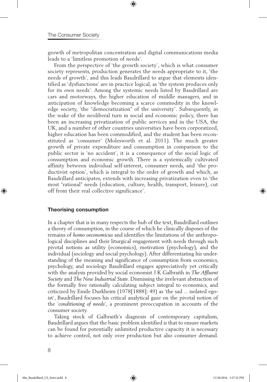growth of metropolitan concentration and digital communications media leads to a 'limitless promotion of needs'.

From the perspective of 'the growth society', which is what consumer society represents, production generates the needs appropriate to it, 'the needs of growth', and this leads Baudrillard to argue that elements identified as 'dysfunctions' are in practice logical, as 'the system produces only for its own needs'. Among the systemic needs listed by Baudrillard are cars and motorways, the higher education of middle managers, and in anticipation of knowledge becoming a scarce commodity in the knowledge society, 'the "democratization" of the university'. Subsequently, in the wake of the neoliberal turn in social and economic policy, there has been an increasing privatization of public services and in the USA, the UK, and a number of other countries universities have been corporatized, higher education has been commodified, and the student has been reconstituted as 'consumer' (Molesworth et al. 2011). The much greater growth of private expenditure and consumption in comparison to the public sector is 'no accident', it is a consequence of the social logic of consumption and economic growth. There is a systemically cultivated affinity between individual self-interest, consumer needs, and 'the productivist option', which is integral to the order of growth and which, as Baudrillard anticipates, extends with increasing privatization even to 'the most "rational" needs (education, culture, health, transport, leisure), cut off from their real collective significance'.

### Theorising consumption

In a chapter that is in many respects the hub of the text, Baudrillard outlines a theory of consumption, in the course of which he clinically disposes of the remains of *homo oeconomicus* and identifies the limitations of the anthropological disciplines and their liturgical engagement with needs through such pivotal notions as utility (economics), motivation (psychology), and the individual (sociology and social psychology). After differentiating his understanding of the meaning and significance of consumption from economics, psychology, and sociology Baudrillard engages appreciatively yet critically with the analysis provided by social economist J K Galbraith in *The Affluent Society* and *The New Industrial State*. Dismissing the irrelevant abstraction of the formally free rationally calculating subject integral to economics, and criticized by Emile Durkheim (1978[1888]: 49) as 'the sad ... isolated egoist', Baudrillard focuses his critical analytical gaze on the pivotal notion of the '*conditioning of needs*', a prominent preoccupation in accounts of the consumer society.

Taking stock of Galbraith's diagnosis of contemporary capitalism, Baudrillard argues that the basic problem identified is that to ensure markets can be found for potentially unlimited productive capacity it is necessary to achieve control, not only over production but also consumer demand.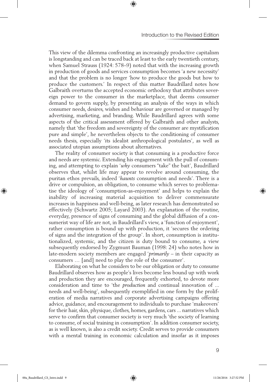This view of the dilemma confronting an increasingly productive capitalism is longstanding and can be traced back at least to the early twentieth century, when Samuel Strauss (1924: 578–9) noted that with the increasing growth in production of goods and services consumption becomes 'a new necessity' and that the problem is no longer 'how to produce the goods but how to produce the customers.' In respect of this matter Baudrillard notes how Galbraith overturns the accepted economic orthodoxy that attributes sovereign power to the consumer in the marketplace, that deems consumer demand to govern supply, by presenting an analysis of the ways in which consumer needs, desires, wishes and behaviour are governed or managed by advertising, marketing, and branding. While Baudrillard agrees with some aspects of the critical assessment offered by Galbraith and other analysts, namely that 'the freedom and sovereignty of the consumer are mystification pure and simple', he nevertheless objects to the conditioning of consumer needs thesis, especially 'its idealist anthropological postulates', as well as associated utopian assumptions about alternatives.

The reality of consumer society is that consuming is a productive force and needs are systemic. Extending his engagement with the pull of consuming, and attempting to explain '*why* consumers "take" the bait', Baudrillard observes that, whilst life may appear to revolve around consuming, the puritan ethos prevails, indeed '*haunts* consumption and needs'. There is a drive or compulsion, an obligation, to consume which serves to problematise the ideology of 'consumption-as-enjoyment' and helps to explain the inability of increasing material acquisition to deliver commensurate increases in happiness and well-being, as later research has demonstrated so effectively (Schwartz 2005; Layard 2003). An explanation of the routine, everyday, presence of signs of consuming and the global diffusion of a consumerist way of life are not, in Baudrillard's view, a 'function of enjoyment', rather consumption is bound up with production, it 'secures the ordering of signs and the integration of the group'. In short, consumption is institutionalized, systemic, and the citizen is duty bound to consume, a view subsequently endorsed by Zygmunt Bauman (1998: 24) who notes how in late-modern society members are engaged '*primarily* – in their capacity as consumers … [and] need to play the role of the consumer'.

Elaborating on what he considers to be our obligation or duty to consume Baudrillard observes how as people's lives become less bound up with work and production they are encouraged, frequently exhorted, to devote more consideration and time to 'the *production* and continual innovation of ... needs and well-being', subsequently exemplified in one form by the proliferation of media narratives and corporate advertising campaigns offering advice, guidance, and encouragement to individuals to purchase 'makeovers' for their hair, skin, physique, clothes, homes, gardens, cars ... narratives which serve to confirm that consumer society is very much 'the society of learning to consume, of social training in consumption'. In addition consumer society, as is well known, is also a credit society. Credit serves to provide consumers with a mental training in economic calculation and insofar as it imposes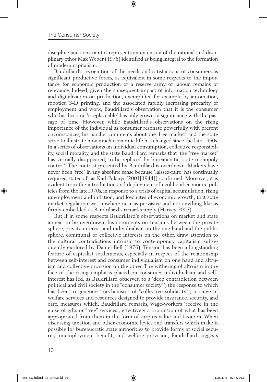discipline and constraint it represents an extension of the rational and disciplinary ethos Max Weber (1976) identified as being integral to the formation of modern capitalism.

Baudrillard's recognition of the needs and satisfactions of consumers as significant productive forces, as equivalent in some respects to the importance for economic production of a reserve army of labour, remains of relevance. Indeed, given the subsequent impact of information technology and digitalization on production, exemplified for example by automation, robotics, 3-D printing, and the associated rapidly increasing precarity of employment and work, Baudrillard's observation that it is the consumer who has become 'irreplaceable' has only grown in significance with the passage of time. However, while Baudrillard's observations on the rising importance of the individual as consumer resonate powerfully with present circumstances, his parallel comments about the 'free market' and the state serve to illustrate how much economic life has changed since the late 1960s. In a series of observations on individual consumption, collective responsibility, social morality, and the state Baudrillard remarks that 'the "free market" has virtually disappeared, to be replaced by bureaucratic, state monopoly control'. The contrast presented by Baudrillard is overdrawn. Markets have never been 'free' in any absolute sense because 'laissez-faire' has continually required statecraft as Karl Polanyi (2001[1944]) confirmed. Moreover, it is evident from the introduction and deployment of neoliberal economic policies from the late1970s, in response to a crisis of capital accumulation, rising unemployment and inflation, and low rates of economic growth, that state market regulation was nowhere near as pervasive and not anything like as firmly embedded as Baudrillard's remarks imply (Harvey 2005).

But if in some respects Baudrillard's observations on market and state appear to be overdrawn, his comments on tensions between the private sphere, private interest, and individualism on the one hand and the public sphere, communal or collective interests on the other, draw attention to the cultural contradictions intrinsic to contemporary capitalism subsequently explored by Daniel Bell (1976). Tension has been a longstanding feature of capitalist settlements, especially in respect of the relationship between self-interest and consumer individualism on one hand and altruism and collective provision on the other. The withering of altruism in the face of the rising emphasis placed on consumer individualism and selfinterest has led, as Baudrillard observes, to a 'deep contradiction between political and civil society in the "consumer society"'; the response to which has been to generate 'mechanisms of "collective solidarity"', a range of welfare services and resources designed to provide insurance, security, and care, measures which, Baudrillard remarks, wage-workers 'receive in the guise of gifts or "free" services', effectively a proportion of what has been appropriated from them in the form of surplus value and taxation. When discussing taxation and other economic levies and transfers which make it possible for bureaucratic state authorities to provide forms of social security, unemployment benefit, and welfare provision, Baudrillard suggests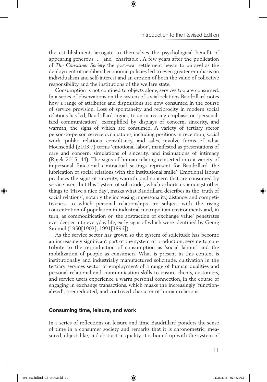the establishment 'arrogate to themselves the psychological benefit of appearing generous ... [and] charitable'. A few years after the publication of *The Consumer Society* the post-war settlement began to unravel as the deployment of neoliberal economic policies led to even greater emphasis on individualism and self-interest and an erosion of both the value of collective responsibility and the institutions of the welfare state.

Consumption is not confined to objects alone, services too are consumed. In a series of observations on the system of social relations Baudrillard notes how a range of attributes and dispositions are now consumed in the course of service provision. Loss of spontaneity and reciprocity in modern social relations has led, Baudrillard argues, to an increasing emphasis on 'personalized communication', exemplified by displays of concern, sincerity, and warmth, the signs of which are consumed. A variety of tertiary sector person-to-person service occupations, including positions in reception, social work, public relations, consultancy, and sales, involve forms of what Hochschild (2003:7) terms 'emotional labor', manifested as presentations of care and concern, simulations of sincerity, and insinuations of intimacy (Rojek 2015: 44). The signs of human relating reinserted into a variety of impersonal functional contractual settings represent for Baudrillard 'the lubrication of social relations with the institutional smile'. Emotional labour produces the signs of sincerity, warmth, and concern that are consumed by service users, but this 'system of solicitude', which exhorts us, amongst other things to 'Have a nice day', masks what Baudrillard describes as the 'truth of social relations', notably the increasing impersonality, distance, and competitiveness to which personal relationships are subject with the rising concentration of population in industrial metropolitan environments and, in turn, as commodification or 'the abstraction of exchange value' penetrates ever deeper into everyday life, early signs of which were identified by Georg Simmel (1950[1903]; 1991[1896]).

As the service sector has grown so the system of solicitude has become an increasingly significant part of the system of production, serving to contribute to the reproduction of consumption as 'social labour' and the mobilization of people as consumers. What is present in this context is institutionally and industrially manufactured solicitude, cultivation in the tertiary services sector of employment of a range of human qualities and personal relational and communication skills to ensure clients, customers, and service users experience a warm personal connection, in the course of engaging in exchange transactions, which masks the increasingly 'functionalized', premeditated, and contrived character of human relations.

### Consuming time, leisure, and work

In a series of reflections on leisure and time Baudrillard ponders the sense of time in a consumer society and remarks that it is chronometric, measured, object-like, and abstract in quality, it is bound up with the system of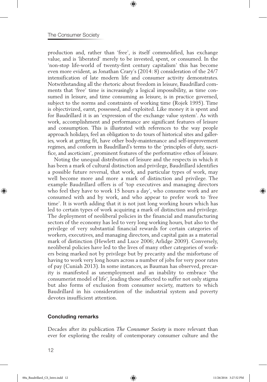production and, rather than 'free', is itself commodified, has exchange value, and is 'liberated' merely to be invested, spent, or consumed. In the 'non-stop life-world of twenty-first century capitalism' this has become even more evident, as Jonathan Crary's (2014: 8) consideration of the 24/7 intensification of late modern life and consumer activity demonstrates. Notwithstanding all the rhetoric about freedom in leisure, Baudrillard comments that 'free' time is increasingly a logical impossibility, as time consumed in leisure, and time consuming as leisure, is in practice governed, subject to the norms and constraints of working time (Rojek 1995). Time is objectivized, earnt, possessed, and exploited. Like money it is spent and for Baudrillard it is an 'expression of the exchange value system'. As with work, accomplishment and performance are significant features of leisure and consumption. This is illustrated with references to the way people approach holidays, feel an obligation to do tours of historical sites and galleries, work at getting fit, have other body-maintenance and self-improvement regimes, and conform in Baudrillard's terms to the 'principles of duty, sacrifice, and asceticism', prominent features of the performative ethos of leisure.

Noting the unequal distribution of leisure and the respects in which it has been a mark of cultural distinction and privilege, Baudrillard identifies a possible future reversal, that work, and particular types of work, may well become more and more a mark of distinction and privilege. The example Baudrillard offers is of 'top executives and managing directors who feel they have to work 15 hours a day', who consume work and are consumed with and by work, and who appear to prefer work to 'free time'. It is worth adding that it is not just long working hours which has led to certain types of work acquiring a mark of distinction and privilege. The deployment of neoliberal policies in the financial and manufacturing sectors of the economy has led to very long working hours, but also to the privilege of very substantial financial rewards for certain categories of workers, executives, and managing directors, and capital gain as a material mark of distinction (Hewlett and Luce 2006; Arlidge 2009). Conversely, neoliberal policies have led to the lives of many other categories of workers being marked not by privilege but by precarity and the misfortune of having to work very long hours across a number of jobs for very poor rates of pay (Cuniah 2013). In some instances, as Bauman has observed, precarity is manifested as unemployment and an inability to embrace 'the consumerist model of life', leading those affected to suffer not only stigma but also forms of exclusion from consumer society, matters to which Baudrillard in his consideration of the industrial system and poverty devotes insufficient attention.

### Concluding remarks

Decades after its publication *The Consumer Society* is more relevant than ever for exploring the reality of contemporary consumer culture and the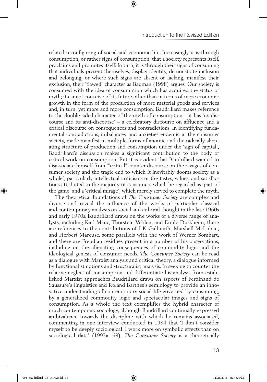related reconfiguring of social and economic life. Increasingly it is through consumption, or rather signs of consumption, that a society represents itself, proclaims and promotes itself. In turn, it is through their signs of consuming that individuals present themselves, display identity, demonstrate inclusion and belonging, or where such signs are absent or lacking, manifest their exclusion, their 'flawed' character as Bauman (1998) argues. Our society is consumed with the idea of consumption which has acquired the status of myth; it cannot conceive of its future other than in terms of more economic growth in the form of the production of more material goods and services and, in turn, yet more and more consumption. Baudrillard makes reference to the double-sided character of the myth of consumption – it has 'its discourse and its anti-discourse' – a celebratory discourse on affluence and a critical discourse on consequences and contradictions. In identifying fundamental contradictions, imbalances, and anxieties endemic in the consumer society, made manifest in multiple forms of anomie and the radically alienating structure of production and consumption under the 'sign of capital', Baudrillard's discussion makes a significant contribution to the body of critical work on consumption. But it is evident that Baudrillard wanted to disassociate himself from '"critical" counter-discourse on the ravages of consumer society and the tragic end to which it inevitably dooms society as a whole', particularly intellectual criticisms of the tastes, values, and satisfactions attributed to the majority of consumers which he regarded as 'part of the game' and a 'critical mirage', which merely served to complete the myth.

The theoretical foundations of *The Consumer Society* are complex and diverse and reveal the influence of the works of particular classical and contemporary analysts on social and cultural thought in the late 1960s and early 1970s. Baudrillard draws on the works of a diverse range of analysts, including Karl Marx, Thorstein Veblen, and Emile Durkheim, there are references to the contributions of J K Galbraith, Marshall McLuhan, and Herbert Marcuse, some parallels with the work of Werner Sombart, and there are Freudian residues present in a number of his observations, including on the alienating consequences of commodity logic and the ideological genesis of consumer needs. *The Consumer Society* can be read as a dialogue with Marxist analysis and critical theory, a dialogue informed by functionalist notions and structuralist analysis. In seeking to counter the relative neglect of consumption and differentiate his analysis from established Marxist approaches Baudrillard draws on aspects of Ferdinand de Saussure's linguistics and Roland Barthes's semiology to provide an innovative understanding of contemporary social life governed by consuming, by a generalized commodity logic and spectacular images and signs of consumption. As a whole the text exemplifies the hybrid character of much contemporary sociology, although Baudrillard continually expressed ambivalence towards the discipline with which he remains associated, commenting in one interview conducted in 1984 that 'I don't consider myself to be deeply sociological. I work more on symbolic effects than on sociological data' (1993a: 68). *The Consumer Society* is a theoretically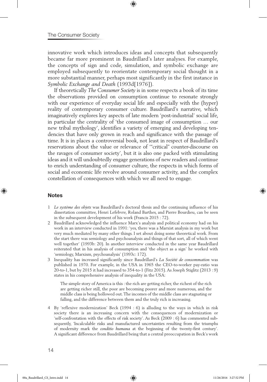innovative work which introduces ideas and concepts that subsequently became far more prominent in Baudrillard's later analyses. For example, the concepts of sign and code, simulation, and symbolic exchange are employed subsequently to reorientate contemporary social thought in a more substantial manner, perhaps most significantly in the first instance in *Symbolic Exchange and Death* (1993d[1976]).

If theoretically *The Consumer Society* is in some respects a book of its time the observations provided on consumption continue to resonate strongly with our experience of everyday social life and especially with the (hyper) reality of contemporary consumer culture. Baudrillard's narrative, which imaginatively explores key aspects of late modern 'post-industrial' social life, in particular the centrality of 'the consumed image of consumption … our new tribal mythology', identifies a variety of emerging and developing tendencies that have only grown in reach and significance with the passage of time. It is in places a controversial book, not least in respect of Baudrillard's reservations about the value or relevance of '"critical" counter-discourse on the ravages of consumer society', but it is also one packed with stimulating ideas and it will undoubtedly engage generations of new readers and continue to enrich understanding of consumer culture, the respects in which forms of social and economic life revolve around consumer activity, and the complex constellation of consequences with which we all need to engage.

### Notes

- 1 *Le système des objets* was Baudrillard's doctoral thesis and the continuing influence of his dissertation committee, Henri Lefebvre, Roland Barthes, and Pierre Bourdieu, can be seen in the subsequent development of his work (Francis 2015 : 72).
- 2 Baudrillard acknowledged the influence Marx's analysis and political economy had on his work in an interview conducted in 1991: 'yes, there was a Marxist analysis in my work but very much mediated by many other things. I set about doing some theoretical work. From the start there was semiology and psychoanalysis and things of that sort, all of which went well together' (1993b: 20). In another interview conducted in the same year Baudrillard reiterated that in his analysis of consumption and 'the object as a sign' he worked with 'semiology, Marxism, psychoanalysis' (1993c: 172).
- 3 Inequality has increased significantly since Baudrillard's *La Société de consommation* was published in 1970. For example, in the USA in 1965 the CEO-to-worker pay-ratio was 20-to-1, but by 2015 it had increased to 354-to-1 (Fitz 2015). As Joseph Stiglitz (2013 : 9) states in his comprehensive analysis of inequality in the USA:

The simple story of America is this : the rich are getting richer, the richest of the rich are getting richer still, the poor are becoming poorer and more numerous, and the middle class is being hollowed out. The incomes of the middle class are stagnating or falling, and the difference between them and the truly rich is increasing.

4 By 'reflexive modernization' Beck (1994 : 6) is alluding to the ways in which in risk society there is an increasing concern with the consequences of modernization or 'self-confrontation with the effects of risk society'. As Beck (2009 : 6) has commented subsequently, 'Incalculable risks and manufactured uncertainties resulting from the triumphs of modernity mark the *conditio humana* at the beginning of the twenty-first century'. A significant difference from Baudrillard being that a central preoccupation in Beck's work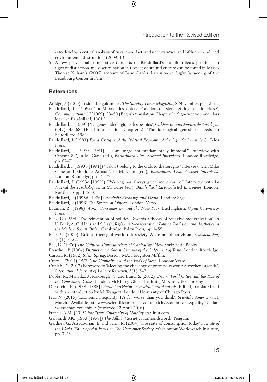is to develop a critical analysis of risks, manufactured uncertainties, and 'affluence-induced environmental destruction' (2009: 13).

5 A few provisional comparative thoughts on Baudrillard's and Bourdieu's positions on signs of distinction and discrimination in respect of art and culture can be found in Marie-Thérèse Killiam's (2006) account of Baudrillard's discussion in *L'effet Beaubourg* of the Beaubourg Center in Paris.

### **References**

Arlidge, J. (2009) 'Inside the goldmine', *The Sunday Times Magazine*, 8 November, pp. 12–24.

Baudrillard, J. (1969a) 'La Morale des objets: Fonction du signe et logique de classe', *Communications,* 13(1969): 23–50 (English translation Chapter 1: 'Sign-function and class logic' in Baudrillard, 1981.)

Baudrillard, J. (1969b) 'La genèse idéologique des besoins', *Cahiers Internationaux de Sociologie,* 6(47): 45–68. (English translation Chapter 2: 'The ideological genesis of needs' in Baudrillard, 1981.)

Baudrillard, J. (1981) *For a Critique of the Political Economy of the Sign*. St Louis, MO: Telos Press.

- Baudrillard, J. (1993a [1984]) '"Is an image not fundamentally immoral?" Interview with Cinéma 84', in M. Gane (ed.), *Baudrillard Live: Selected Interviews*. London: Routledge, pp. 67–71.
- Baudrillard, J. (1993b [1991]) '"I don't belong to the club, to the seraglio." Interview with Mike Gane and Monique Arnaud', in M. Gane (ed.), *Baudrillard Live: Selected Interviews*. London: Routledge, pp. 19–25.

Baudrillard, J. (1993c [1991]) '"Writing has always given me pleasure." Interview with *Le Journal des Psychologues*, in M. Gane (ed.), *Baudrillard Live: Selected Interviews*. London: Routledge, pp. 172–9.

- Baudrillard, J. (1993d [1976]) *Symbolic Exchange and Death*. London: Sage.
- Baudrillard, J. (1996) *The System of Objects*. London: Verso.
- Bauman, Z. (1998) *Work, Consumerism and the New Poor*. Buckingham: Open University Press.

Beck, U. (1994) 'The reinvention of politics: Towards a theory of reflexive modernization', in U. Beck, A. Giddens and S. Lash, *Reflexive Modernization: Politics, Tradition and Aesthetics in the Modern Social Order*. Cambridge: Polity Press, pp. 1–55.

Beck, U. (2009) 'Critical theory of world risk society: A cosmopolitan vision', *Constellation*, 16(1): 3–22.

Bell, D. (1976) *The Cultural Contradictions of Capitalism*. New York: Basic Books.

Bourdieu, P. (1984) *Distinction: A Social Critique of the Judgement of Taste*. London: Routledge.

Carson, R. (1962) *Silent Spring*. Boston, MA: Houghton Mifflin.

Crary, J. (2014) *24/7: Late Capitalism and the Ends of Sleep*. London: Verso.

Cuniah, D. (2013) Foreword to 'Meeting the challenge of precarious work: A worker's agenda', *International Journal of Labour Research*, 5(1): 5–7.

Dobbs, R., Manyika, J., Roxburgh, C. and Lund, S. (2012) *Urban World Cities and the Rise of the Consuming Class*. London: McKinsey Global Institute, McKinsey & Company.

- Durkheim, E. (1978 [1888]) *Emile Durkheim on Institutional Analysis*. Edited, translated and with an introduction by M. Traugott. London: University of Chicago Press.
- Fitz, N. (2015) 'Economic inequality: It's far worse than you think', *Scientific American*, 31 March. Available at www.scientificamerican.com/article/economic-inequality-it-s-farworse-than-you-think/ (retrieved 12 April 2016).
- Francis, A.M. (2015) *Nihilism: Philosophy of Nothingness*. lulu.com.

Galbraith, J.K. (1963 [1958]) *The Affluent Society*. Harmondsworth: Penguin.

Gardner, G., Assadourian, E. and Sarin, R. (2004) 'The state of consumption today' in *State of the World 2004: Special Focus on The Consumer Society*. Washington: Worldwatch Institute, pp. 3–23*.*